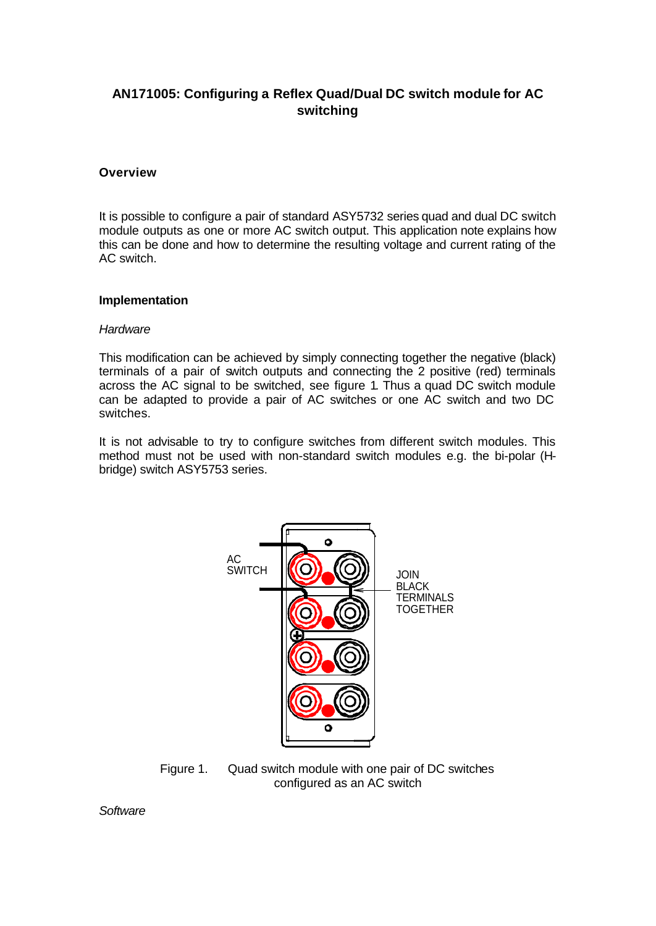# **AN171005: Configuring a Reflex Quad/Dual DC switch module for AC switching**

### **Overview**

It is possible to configure a pair of standard ASY5732 series quad and dual DC switch module outputs as one or more AC switch output. This application note explains how this can be done and how to determine the resulting voltage and current rating of the AC switch.

#### **Implementation**

#### *Hardware*

This modification can be achieved by simply connecting together the negative (black) terminals of a pair of switch outputs and connecting the 2 positive (red) terminals across the AC signal to be switched, see figure 1. Thus a quad DC switch module can be adapted to provide a pair of AC switches or one AC switch and two DC switches.

It is not advisable to try to configure switches from different switch modules. This method must not be used with non-standard switch modules e.g. the bi-polar (Hbridge) switch ASY5753 series.



Figure 1. Quad switch module with one pair of DC switches configured as an AC switch

*Software*